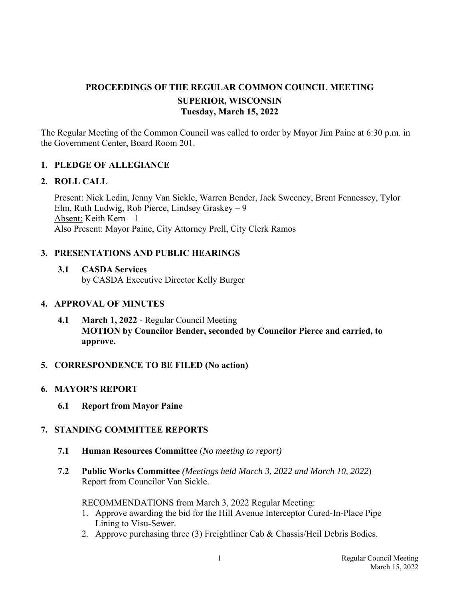# **PROCEEDINGS OF THE REGULAR COMMON COUNCIL MEETING SUPERIOR, WISCONSIN Tuesday, March 15, 2022**

The Regular Meeting of the Common Council was called to order by Mayor Jim Paine at 6:30 p.m. in the Government Center, Board Room 201.

### **1. PLEDGE OF ALLEGIANCE**

### **2. ROLL CALL**

Present: Nick Ledin, Jenny Van Sickle, Warren Bender, Jack Sweeney, Brent Fennessey, Tylor Elm, Ruth Ludwig, Rob Pierce, Lindsey Graskey – 9 Absent: Keith Kern – 1 Also Present: Mayor Paine, City Attorney Prell, City Clerk Ramos

### **3. PRESENTATIONS AND PUBLIC HEARINGS**

**3.1 CASDA Services**  by CASDA Executive Director Kelly Burger

### **4. APPROVAL OF MINUTES**

**4.1 March 1, 2022** - Regular Council Meeting **MOTION by Councilor Bender, seconded by Councilor Pierce and carried, to approve.**

### **5. CORRESPONDENCE TO BE FILED (No action)**

#### **6. MAYOR'S REPORT**

 **6.1 Report from Mayor Paine** 

### **7. STANDING COMMITTEE REPORTS**

- **7.1 Human Resources Committee** (*No meeting to report)*
- **7.2 Public Works Committee** *(Meetings held March 3, 2022 and March 10, 2022*) Report from Councilor Van Sickle.

RECOMMENDATIONS from March 3, 2022 Regular Meeting:

- 1. Approve awarding the bid for the Hill Avenue Interceptor Cured-In-Place Pipe Lining to Visu-Sewer.
- 2. Approve purchasing three (3) Freightliner Cab & Chassis/Heil Debris Bodies.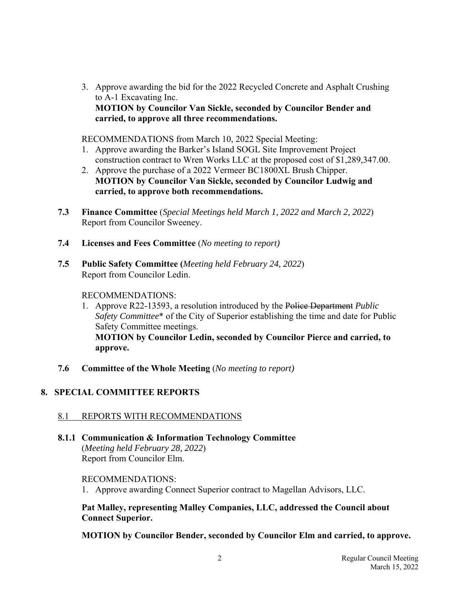3. Approve awarding the bid for the 2022 Recycled Concrete and Asphalt Crushing to A-1 Excavating Inc. **MOTION by Councilor Van Sickle, seconded by Councilor Bender and carried, to approve all three recommendations.**

RECOMMENDATIONS from March 10, 2022 Special Meeting:

- 1. Approve awarding the Barker's Island SOGL Site Improvement Project construction contract to Wren Works LLC at the proposed cost of \$1,289,347.00.
- 2. Approve the purchase of a 2022 Vermeer BC1800XL Brush Chipper. **MOTION by Councilor Van Sickle, seconded by Councilor Ludwig and carried, to approve both recommendations.**
- **7.3 Finance Committee** (*Special Meetings held March 1, 2022 and March 2, 2022*) Report from Councilor Sweeney.
- **7.4 Licenses and Fees Committee** (*No meeting to report)*
- **7.5 Public Safety Committee (***Meeting held February 24, 2022*) Report from Councilor Ledin.

#### RECOMMENDATIONS:

- 1. Approve R22-13593, a resolution introduced by the Police Department *Public Safety Committee*\* of the City of Superior establishing the time and date for Public Safety Committee meetings. **MOTION by Councilor Ledin, seconded by Councilor Pierce and carried, to approve.**
- **7.6 Committee of the Whole Meeting** (*No meeting to report)*

### **8. SPECIAL COMMITTEE REPORTS**

### 8.1 REPORTS WITH RECOMMENDATIONS

 **8.1.1 Communication & Information Technology Committee** (*Meeting held February 28, 2022*) Report from Councilor Elm.

#### RECOMMENDATIONS:

1. Approve awarding Connect Superior contract to Magellan Advisors, LLC.

### **Pat Malley, representing Malley Companies, LLC, addressed the Council about Connect Superior.**

 **MOTION by Councilor Bender, seconded by Councilor Elm and carried, to approve.**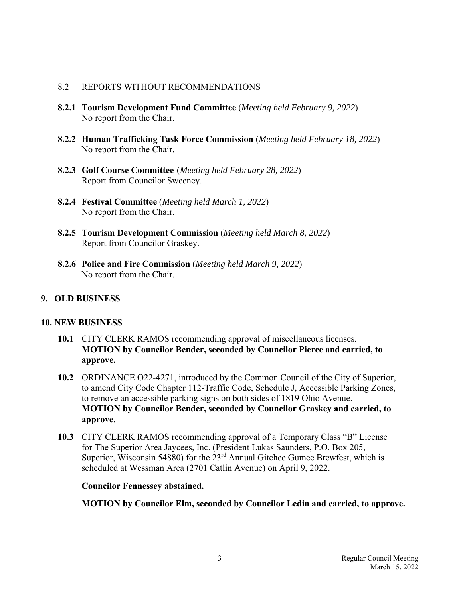#### 8.2 REPORTS WITHOUT RECOMMENDATIONS

- **8.2.1 Tourism Development Fund Committee** (*Meeting held February 9, 2022*) No report from the Chair.
- **8.2.2 Human Trafficking Task Force Commission** (*Meeting held February 18, 2022*) No report from the Chair.
- **8.2.3 Golf Course Committee** (*Meeting held February 28, 2022*) Report from Councilor Sweeney.
- **8.2.4 Festival Committee** (*Meeting held March 1, 2022*) No report from the Chair.
- **8.2.5 Tourism Development Commission** (*Meeting held March 8, 2022*) Report from Councilor Graskey.
- **8.2.6 Police and Fire Commission** (*Meeting held March 9, 2022*) No report from the Chair.

## **9. OLD BUSINESS**

### **10. NEW BUSINESS**

- **10.1** CITY CLERK RAMOS recommending approval of miscellaneous licenses. **MOTION by Councilor Bender, seconded by Councilor Pierce and carried, to approve.**
- **10.2** ORDINANCE O22-4271, introduced by the Common Council of the City of Superior, to amend City Code Chapter 112-Traffic Code, Schedule J, Accessible Parking Zones, to remove an accessible parking signs on both sides of 1819 Ohio Avenue. **MOTION by Councilor Bender, seconded by Councilor Graskey and carried, to approve.**
- **10.3** CITY CLERK RAMOS recommending approval of a Temporary Class "B" License for The Superior Area Jaycees, Inc. (President Lukas Saunders, P.O. Box 205, Superior, Wisconsin 54880) for the 23<sup>rd</sup> Annual Gitchee Gumee Brewfest, which is scheduled at Wessman Area (2701 Catlin Avenue) on April 9, 2022.

#### **Councilor Fennessey abstained.**

 **MOTION by Councilor Elm, seconded by Councilor Ledin and carried, to approve.**